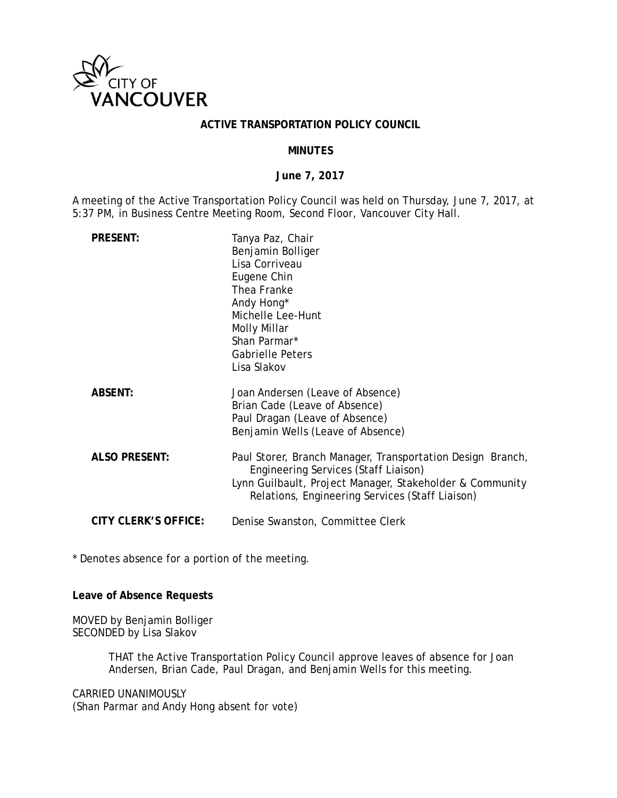

#### **ACTIVE TRANSPORTATION POLICY COUNCIL**

#### **MINUTES**

#### **June 7, 2017**

A meeting of the Active Transportation Policy Council was held on Thursday, June 7, 2017, at 5:37 PM, in Business Centre Meeting Room, Second Floor, Vancouver City Hall.

| <b>PRESENT:</b>      | Tanya Paz, Chair<br>Benjamin Bolliger<br>Lisa Corriveau<br>Eugene Chin<br>Thea Franke<br>Andy Hong*<br>Michelle Lee-Hunt<br>Molly Millar<br>Shan Parmar*<br><b>Gabrielle Peters</b><br>Lisa Slakov                |
|----------------------|-------------------------------------------------------------------------------------------------------------------------------------------------------------------------------------------------------------------|
| <b>ABSENT:</b>       | Joan Andersen (Leave of Absence)<br>Brian Cade (Leave of Absence)<br>Paul Dragan (Leave of Absence)<br>Benjamin Wells (Leave of Absence)                                                                          |
| <b>ALSO PRESENT:</b> | Paul Storer, Branch Manager, Transportation Design Branch,<br>Engineering Services (Staff Liaison)<br>Lynn Guilbault, Project Manager, Stakeholder & Community<br>Relations, Engineering Services (Staff Liaison) |
| CITY CLERK'S OFFICE: | Denise Swanston, Committee Clerk                                                                                                                                                                                  |

\* Denotes absence for a portion of the meeting.

**Leave of Absence Requests** 

MOVED by Benjamin Bolliger SECONDED by Lisa Slakov

> THAT the Active Transportation Policy Council approve leaves of absence for Joan Andersen, Brian Cade, Paul Dragan, and Benjamin Wells for this meeting.

CARRIED UNANIMOUSLY (Shan Parmar and Andy Hong absent for vote)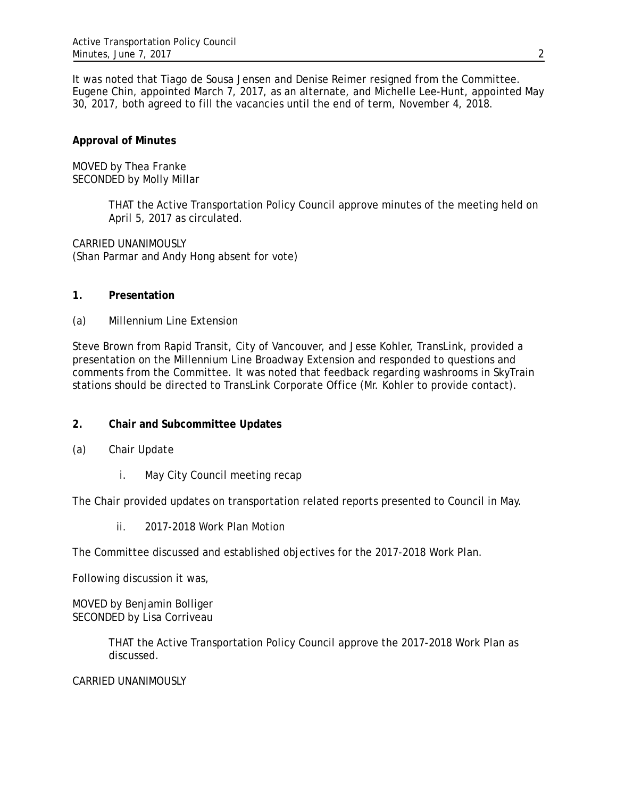It was noted that Tiago de Sousa Jensen and Denise Reimer resigned from the Committee. Eugene Chin, appointed March 7, 2017, as an alternate, and Michelle Lee-Hunt, appointed May 30, 2017, both agreed to fill the vacancies until the end of term, November 4, 2018.

## **Approval of Minutes**

MOVED by Thea Franke SECONDED by Molly Millar

> THAT the Active Transportation Policy Council approve minutes of the meeting held on April 5, 2017 as circulated.

CARRIED UNANIMOUSLY (Shan Parmar and Andy Hong absent for vote)

#### **1. Presentation**

(a) Millennium Line Extension

Steve Brown from Rapid Transit, City of Vancouver, and Jesse Kohler, TransLink, provided a presentation on the Millennium Line Broadway Extension and responded to questions and comments from the Committee. It was noted that feedback regarding washrooms in SkyTrain stations should be directed to TransLink Corporate Office (Mr. Kohler to provide contact).

### **2. Chair and Subcommittee Updates**

- (a) Chair Update
	- i. May City Council meeting recap

The Chair provided updates on transportation related reports presented to Council in May.

ii. 2017-2018 Work Plan Motion

The Committee discussed and established objectives for the 2017-2018 Work Plan.

Following discussion it was,

MOVED by Benjamin Bolliger SECONDED by Lisa Corriveau

> THAT the Active Transportation Policy Council approve the 2017-2018 Work Plan as discussed.

### CARRIED UNANIMOUSLY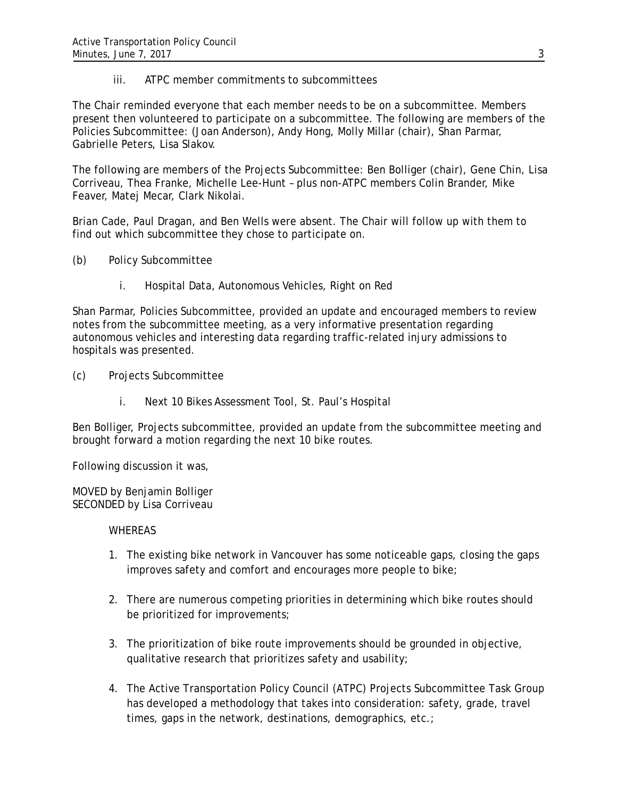iii. ATPC member commitments to subcommittees

The Chair reminded everyone that each member needs to be on a subcommittee. Members present then volunteered to participate on a subcommittee. The following are members of the Policies Subcommittee: (Joan Anderson), Andy Hong, Molly Millar (chair), Shan Parmar, Gabrielle Peters, Lisa Slakov.

The following are members of the Projects Subcommittee: Ben Bolliger (chair), Gene Chin, Lisa Corriveau, Thea Franke, Michelle Lee-Hunt – plus non-ATPC members Colin Brander, Mike Feaver, Matej Mecar, Clark Nikolai.

Brian Cade, Paul Dragan, and Ben Wells were absent. The Chair will follow up with them to find out which subcommittee they chose to participate on.

- (b) Policy Subcommittee
	- i. Hospital Data, Autonomous Vehicles, Right on Red

Shan Parmar, Policies Subcommittee, provided an update and encouraged members to review notes from the subcommittee meeting, as a very informative presentation regarding autonomous vehicles and interesting data regarding traffic-related injury admissions to hospitals was presented.

- (c) Projects Subcommittee
	- i. Next 10 Bikes Assessment Tool, St. Paul's Hospital

Ben Bolliger, Projects subcommittee, provided an update from the subcommittee meeting and brought forward a motion regarding the next 10 bike routes.

Following discussion it was,

MOVED by Benjamin Bolliger SECONDED by Lisa Corriveau

#### **WHEREAS**

- 1. The existing bike network in Vancouver has some noticeable gaps, closing the gaps improves safety and comfort and encourages more people to bike;
- 2. There are numerous competing priorities in determining which bike routes should be prioritized for improvements;
- 3. The prioritization of bike route improvements should be grounded in objective, qualitative research that prioritizes safety and usability;
- 4. The Active Transportation Policy Council (ATPC) Projects Subcommittee Task Group has developed a methodology that takes into consideration: safety, grade, travel times, gaps in the network, destinations, demographics, etc.;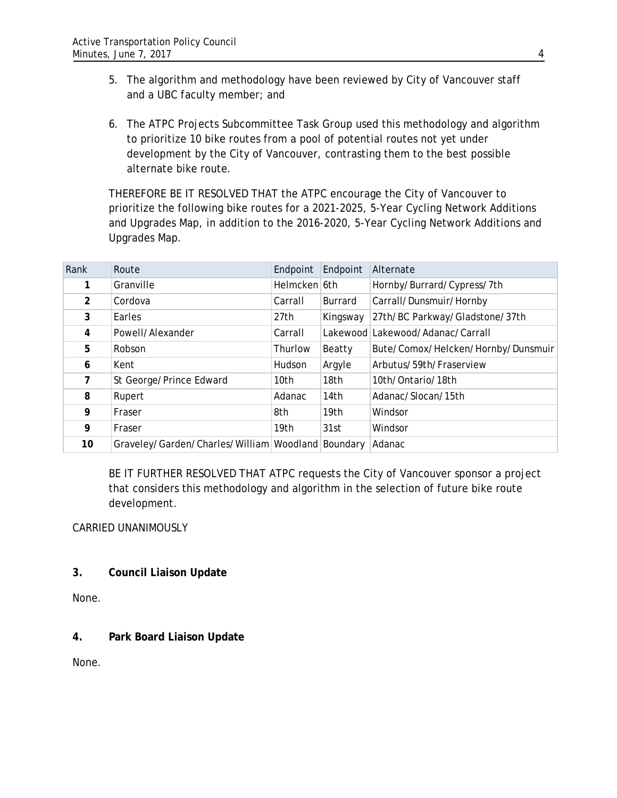- 5. The algorithm and methodology have been reviewed by City of Vancouver staff and a UBC faculty member; and
- 6. The ATPC Projects Subcommittee Task Group used this methodology and algorithm to prioritize 10 bike routes from a pool of potential routes not yet under development by the City of Vancouver, contrasting them to the best possible alternate bike route.

THEREFORE BE IT RESOLVED THAT the ATPC encourage the City of Vancouver to prioritize the following bike routes for a 2021-2025, 5-Year Cycling Network Additions and Upgrades Map, in addition to the 2016-2020, 5-Year Cycling Network Additions and Upgrades Map.

| Rank           | Route                                    | Endpoint         | Endpoint       | Alternate                          |
|----------------|------------------------------------------|------------------|----------------|------------------------------------|
|                | Granville                                | Helmcken 6th     |                | Hornby/Burrard/Cypress/7th         |
| $\overline{2}$ | Cordova                                  | Carrall          | <b>Burrard</b> | Carrall/Dunsmuir/Hornby            |
| 3              | Earles                                   | 27th             | Kingsway       | 27th/BC Parkway/Gladstone/37th     |
| 4              | Powell/Alexander                         | Carrall          |                | Lakewood Lakewood/Adanac/Carrall   |
| 5              | Robson                                   | Thurlow          | Beatty         | Bute/Comox/Helcken/Hornby/Dunsmuir |
| 6              | Kent                                     | Hudson           | Argyle         | Arbutus/59th/Fraserview            |
| $7^{\circ}$    | St George/Prince Edward                  | 10th             | 18th           | 10th/Ontario/18th                  |
| 8              | Rupert                                   | Adanac           | 14th           | Adanac/Slocan/15th                 |
| 9              | Fraser                                   | 8th              | 19th           | Windsor                            |
| 9              | Fraser                                   | 19 <sub>th</sub> | 31st           | Windsor                            |
| 10             | Graveley/Garden/Charles/William Woodland |                  | Boundary       | Adanac                             |

BE IT FURTHER RESOLVED THAT ATPC requests the City of Vancouver sponsor a project that considers this methodology and algorithm in the selection of future bike route development.

# CARRIED UNANIMOUSLY

**3. Council Liaison Update** 

None.

# **4. Park Board Liaison Update**

None.